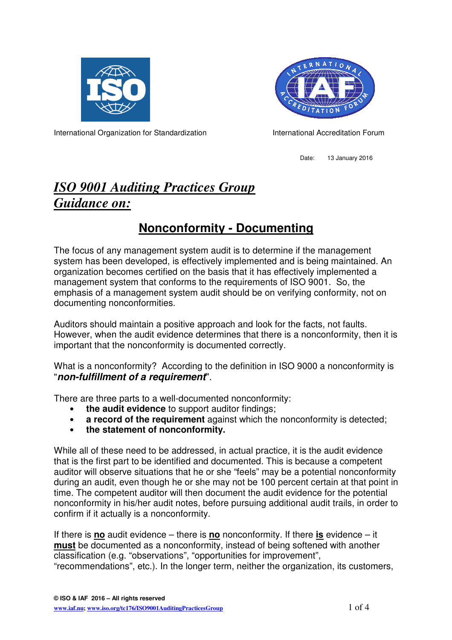



International Organization for Standardization **International Accreditation Forum** 

Date: 13 January 2016

## *ISO 9001 Auditing Practices Group Guidance on:*

## **Nonconformity - Documenting**

The focus of any management system audit is to determine if the management system has been developed, is effectively implemented and is being maintained. An organization becomes certified on the basis that it has effectively implemented a management system that conforms to the requirements of ISO 9001. So, the emphasis of a management system audit should be on verifying conformity, not on documenting nonconformities.

Auditors should maintain a positive approach and look for the facts, not faults. However, when the audit evidence determines that there is a nonconformity, then it is important that the nonconformity is documented correctly.

What is a nonconformity? According to the definition in ISO 9000 a nonconformity is "**non-fulfillment of a requirement**".

There are three parts to a well-documented nonconformity:

- **the audit evidence** to support auditor findings;
- **a record of the requirement** against which the nonconformity is detected;
- **the statement of nonconformity.**

While all of these need to be addressed, in actual practice, it is the audit evidence that is the first part to be identified and documented. This is because a competent auditor will observe situations that he or she "feels" may be a potential nonconformity during an audit, even though he or she may not be 100 percent certain at that point in time. The competent auditor will then document the audit evidence for the potential nonconformity in his/her audit notes, before pursuing additional audit trails, in order to confirm if it actually is a nonconformity.

If there is **no** audit evidence – there is **no** nonconformity. If there **is** evidence – it **must** be documented as a nonconformity, instead of being softened with another classification (e.g. "observations", "opportunities for improvement", "recommendations", etc.). In the longer term, neither the organization, its customers,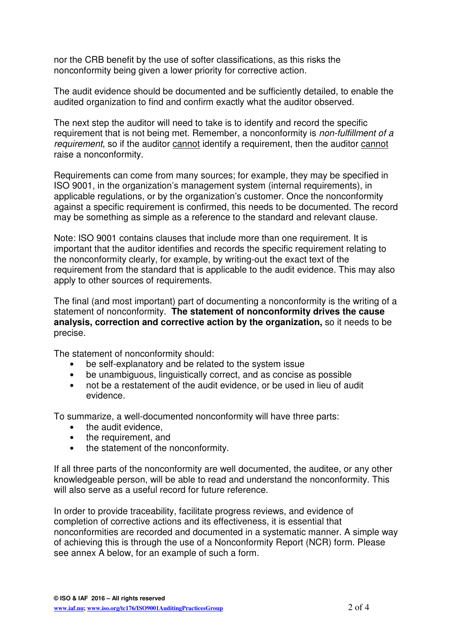nor the CRB benefit by the use of softer classifications, as this risks the nonconformity being given a lower priority for corrective action.

The audit evidence should be documented and be sufficiently detailed, to enable the audited organization to find and confirm exactly what the auditor observed.

The next step the auditor will need to take is to identify and record the specific requirement that is not being met. Remember, a nonconformity is non-fulfillment of a requirement, so if the auditor cannot identify a requirement, then the auditor cannot raise a nonconformity.

Requirements can come from many sources; for example, they may be specified in ISO 9001, in the organization's management system (internal requirements), in applicable regulations, or by the organization's customer. Once the nonconformity against a specific requirement is confirmed, this needs to be documented. The record may be something as simple as a reference to the standard and relevant clause.

Note: ISO 9001 contains clauses that include more than one requirement. It is important that the auditor identifies and records the specific requirement relating to the nonconformity clearly, for example, by writing-out the exact text of the requirement from the standard that is applicable to the audit evidence. This may also apply to other sources of requirements.

The final (and most important) part of documenting a nonconformity is the writing of a statement of nonconformity. **The statement of nonconformity drives the cause analysis, correction and corrective action by the organization,** so it needs to be precise.

The statement of nonconformity should:

- be self-explanatory and be related to the system issue
- be unambiguous, linguistically correct, and as concise as possible
- not be a restatement of the audit evidence, or be used in lieu of audit evidence.

To summarize, a well-documented nonconformity will have three parts:

- the audit evidence,
- the requirement, and
- the statement of the nonconformity.

If all three parts of the nonconformity are well documented, the auditee, or any other knowledgeable person, will be able to read and understand the nonconformity. This will also serve as a useful record for future reference.

In order to provide traceability, facilitate progress reviews, and evidence of completion of corrective actions and its effectiveness, it is essential that nonconformities are recorded and documented in a systematic manner. A simple way of achieving this is through the use of a Nonconformity Report (NCR) form. Please see annex A below, for an example of such a form.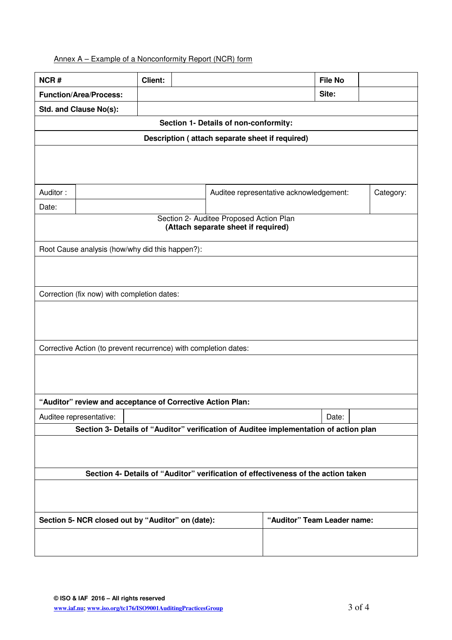## Annex A – Example of a Nonconformity Report (NCR) form

| NCR#                                                                                  | <b>Client:</b> |                             |                                         | <b>File No</b> |           |
|---------------------------------------------------------------------------------------|----------------|-----------------------------|-----------------------------------------|----------------|-----------|
| <b>Function/Area/Process:</b>                                                         |                |                             |                                         | Site:          |           |
| Std. and Clause No(s):                                                                |                |                             |                                         |                |           |
| Section 1- Details of non-conformity:                                                 |                |                             |                                         |                |           |
| Description (attach separate sheet if required)                                       |                |                             |                                         |                |           |
|                                                                                       |                |                             |                                         |                |           |
|                                                                                       |                |                             |                                         |                |           |
|                                                                                       |                |                             |                                         |                |           |
| Auditor:                                                                              |                |                             | Auditee representative acknowledgement: |                | Category: |
| Date:                                                                                 |                |                             |                                         |                |           |
| Section 2- Auditee Proposed Action Plan<br>(Attach separate sheet if required)        |                |                             |                                         |                |           |
|                                                                                       |                |                             |                                         |                |           |
| Root Cause analysis (how/why did this happen?):                                       |                |                             |                                         |                |           |
|                                                                                       |                |                             |                                         |                |           |
|                                                                                       |                |                             |                                         |                |           |
| Correction (fix now) with completion dates:                                           |                |                             |                                         |                |           |
|                                                                                       |                |                             |                                         |                |           |
|                                                                                       |                |                             |                                         |                |           |
|                                                                                       |                |                             |                                         |                |           |
| Corrective Action (to prevent recurrence) with completion dates:                      |                |                             |                                         |                |           |
|                                                                                       |                |                             |                                         |                |           |
|                                                                                       |                |                             |                                         |                |           |
|                                                                                       |                |                             |                                         |                |           |
| "Auditor" review and acceptance of Corrective Action Plan:                            |                |                             |                                         |                |           |
| Auditee representative:                                                               |                |                             |                                         | Date:          |           |
| Section 3- Details of "Auditor" verification of Auditee implementation of action plan |                |                             |                                         |                |           |
|                                                                                       |                |                             |                                         |                |           |
|                                                                                       |                |                             |                                         |                |           |
| Section 4- Details of "Auditor" verification of effectiveness of the action taken     |                |                             |                                         |                |           |
|                                                                                       |                |                             |                                         |                |           |
|                                                                                       |                |                             |                                         |                |           |
|                                                                                       |                |                             |                                         |                |           |
| Section 5- NCR closed out by "Auditor" on (date):                                     |                | "Auditor" Team Leader name: |                                         |                |           |
|                                                                                       |                |                             |                                         |                |           |
|                                                                                       |                |                             |                                         |                |           |